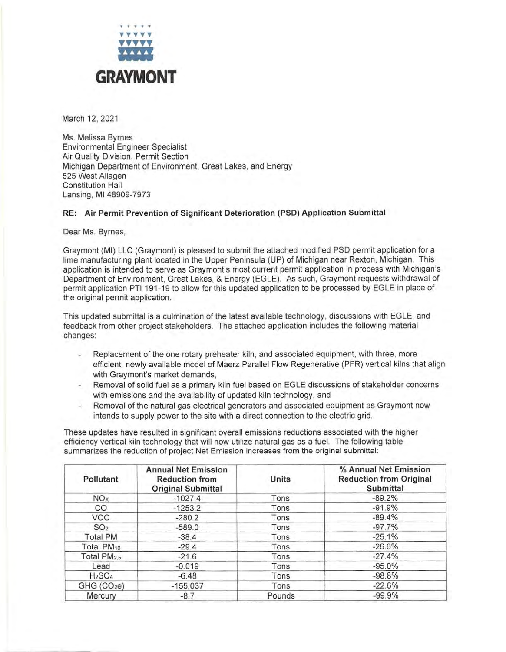

March 12, 2021

Ms. Melissa Byrnes Environmental Engineer Specialist Air Quality Division, Permit Section Michigan Department of Environment, Great Lakes, and Energy 525 West Allagen Constitution Hall Lansing, Ml 48909-7973

## **RE: Air Permit Prevention of Significant Deterioration (PSD) Application Submittal**

Dear Ms. Byrnes,

Graymont (Ml) LLC (Graymont) is pleased to submit the attached modified PSD permit application for a lime manufacturing plant located in the Upper Peninsula (UP) of Michigan near Rexton, Michigan. This application is intended to serve as Graymont's most current permit application in process with Michigan's Department of Environment, Great Lakes, & Energy (EGLE). As such, Graymont requests withdrawal of permit application PTI 191-19 to allow for this updated application to be processed by EGLE in place of the original permit application.

This updated submittal is a culmination of the latest available technology, discussions with EGLE, and feedback from other project stakeholders. The attached application includes the following material changes:

- Replacement of the one rotary preheater kiln, and associated equipment, with three, more efficient, newly available model of Maerz Parallel Flow Regenerative (PFR) vertical kilns that align with Graymont's market demands,
- Removal of solid fuel as a primary kiln fuel based on EGLE discussions of stakeholder concerns with emissions and the availability of updated kiln technology, and
- Removal of the natural gas electrical generators and associated equipment as Graymont now intends to supply power to the site with a direct connection to the electric grid.

These updates have resulted in significant overall emissions reductions associated with the higher efficiency vertical kiln technology that will now utilize natural gas as a fuel. The following table summarizes the reduction of project Net Emission increases from the original submittal:

| Pollutant                      | <b>Annual Net Emission</b><br><b>Reduction from</b><br><b>Original Submittal</b> | Units  | % Annual Net Emission<br><b>Reduction from Original</b><br>Submittal |
|--------------------------------|----------------------------------------------------------------------------------|--------|----------------------------------------------------------------------|
| <b>NO<sub>x</sub></b>          | $-1027.4$                                                                        | Tons   | $-89.2%$                                                             |
| CO                             | $-1253.2$                                                                        | Tons   | $-91.9%$                                                             |
| <b>VOC</b>                     | $-280.2$                                                                         | Tons   | $-89.4%$                                                             |
| SO <sub>2</sub>                | $-589.0$                                                                         | Tons   | $-97.7%$                                                             |
| <b>Total PM</b>                | $-38.4$                                                                          | Tons   | $-25.1%$                                                             |
| Total PM <sub>10</sub>         | $-29.4$                                                                          | Tons   | $-26.6%$                                                             |
| Total PM <sub>2.5</sub>        | $-21.6$                                                                          | Tons   | $-27.4%$                                                             |
| Lead                           | $-0.019$                                                                         | Tons   | $-95.0%$                                                             |
| H <sub>2</sub> SO <sub>4</sub> | $-6.48$                                                                          | Tons   | $-98.8%$                                                             |
| $GHG$ (CO <sub>2</sub> e)      | $-155,037$                                                                       | Tons   | $-22.6%$                                                             |
| Mercury                        | $-8.7$                                                                           | Pounds | $-99.9%$                                                             |